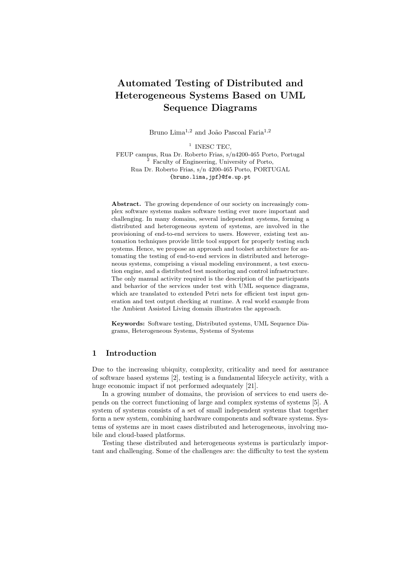# Automated Testing of Distributed and Heterogeneous Systems Based on UML Sequence Diagrams

Bruno  $\rm Lima^{1,2}$  and João Pascoal Faria<sup>1,2</sup>

<sup>1</sup> INESC TEC, FEUP campus, Rua Dr. Roberto Frias, s/n4200-465 Porto, Portugal  $\overline{2}$  Faculty of Engineering, University of Porto, Rua Dr. Roberto Frias, s/n 4200-465 Porto, PORTUGAL {bruno.lima,jpf}@fe.up.pt

Abstract. The growing dependence of our society on increasingly complex software systems makes software testing ever more important and challenging. In many domains, several independent systems, forming a distributed and heterogeneous system of systems, are involved in the provisioning of end-to-end services to users. However, existing test automation techniques provide little tool support for properly testing such systems. Hence, we propose an approach and toolset architecture for automating the testing of end-to-end services in distributed and heterogeneous systems, comprising a visual modeling environment, a test execution engine, and a distributed test monitoring and control infrastructure. The only manual activity required is the description of the participants and behavior of the services under test with UML sequence diagrams, which are translated to extended Petri nets for efficient test input generation and test output checking at runtime. A real world example from the Ambient Assisted Living domain illustrates the approach.

Keywords: Software testing, Distributed systems, UML Sequence Diagrams, Heterogeneous Systems, Systems of Systems

## 1 Introduction

Due to the increasing ubiquity, complexity, criticality and need for assurance of software based systems [2], testing is a fundamental lifecycle activity, with a huge economic impact if not performed adequately [21].

In a growing number of domains, the provision of services to end users depends on the correct functioning of large and complex systems of systems [5]. A system of systems consists of a set of small independent systems that together form a new system, combining hardware components and software systems. Systems of systems are in most cases distributed and heterogeneous, involving mobile and cloud-based platforms.

Testing these distributed and heterogeneous systems is particularly important and challenging. Some of the challenges are: the difficulty to test the system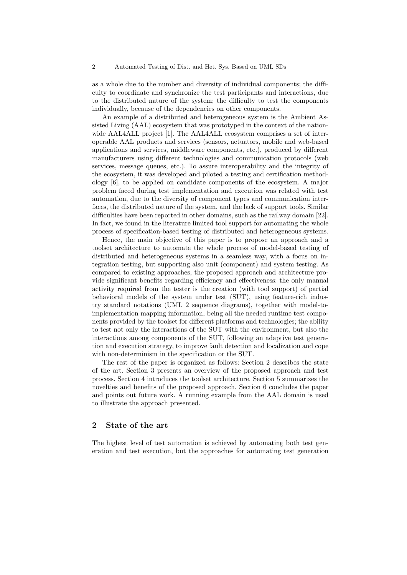as a whole due to the number and diversity of individual components; the difficulty to coordinate and synchronize the test participants and interactions, due to the distributed nature of the system; the difficulty to test the components individually, because of the dependencies on other components.

An example of a distributed and heterogeneous system is the Ambient Assisted Living (AAL) ecosystem that was prototyped in the context of the nationwide AAL4ALL project [1]. The AAL4ALL ecosystem comprises a set of interoperable AAL products and services (sensors, actuators, mobile and web-based applications and services, middleware components, etc.), produced by different manufacturers using different technologies and communication protocols (web services, message queues, etc.). To assure interoperability and the integrity of the ecosystem, it was developed and piloted a testing and certification methodology [6], to be applied on candidate components of the ecosystem. A major problem faced during test implementation and execution was related with test automation, due to the diversity of component types and communication interfaces, the distributed nature of the system, and the lack of support tools. Similar difficulties have been reported in other domains, such as the railway domain [22]. In fact, we found in the literature limited tool support for automating the whole process of specification-based testing of distributed and heterogeneous systems.

Hence, the main objective of this paper is to propose an approach and a toolset architecture to automate the whole process of model-based testing of distributed and heterogeneous systems in a seamless way, with a focus on integration testing, but supporting also unit (component) and system testing. As compared to existing approaches, the proposed approach and architecture provide significant benefits regarding efficiency and effectiveness: the only manual activity required from the tester is the creation (with tool support) of partial behavioral models of the system under test (SUT), using feature-rich industry standard notations (UML 2 sequence diagrams), together with model-toimplementation mapping information, being all the needed runtime test components provided by the toolset for different platforms and technologies; the ability to test not only the interactions of the SUT with the environment, but also the interactions among components of the SUT, following an adaptive test generation and execution strategy, to improve fault detection and localization and cope with non-determinism in the specification or the SUT.

The rest of the paper is organized as follows: Section 2 describes the state of the art. Section 3 presents an overview of the proposed approach and test process. Section 4 introduces the toolset architecture. Section 5 summarizes the novelties and benefits of the proposed approach. Section 6 concludes the paper and points out future work. A running example from the AAL domain is used to illustrate the approach presented.

# 2 State of the art

The highest level of test automation is achieved by automating both test generation and test execution, but the approaches for automating test generation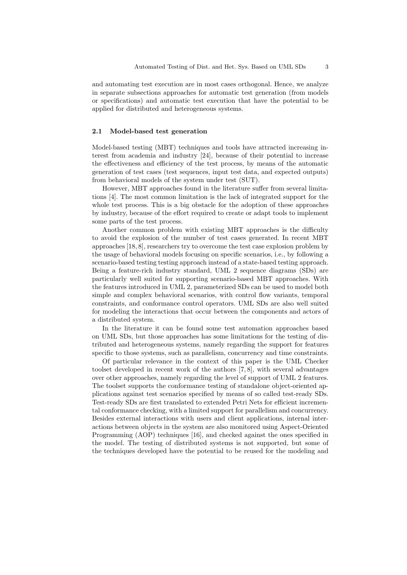and automating test execution are in most cases orthogonal. Hence, we analyze in separate subsections approaches for automatic test generation (from models or specifications) and automatic test execution that have the potential to be applied for distributed and heterogeneous systems.

#### 2.1 Model-based test generation

Model-based testing (MBT) techniques and tools have attracted increasing interest from academia and industry [24], because of their potential to increase the effectiveness and efficiency of the test process, by means of the automatic generation of test cases (test sequences, input test data, and expected outputs) from behavioral models of the system under test (SUT).

However, MBT approaches found in the literature suffer from several limitations [4]. The most common limitation is the lack of integrated support for the whole test process. This is a big obstacle for the adoption of these approaches by industry, because of the effort required to create or adapt tools to implement some parts of the test process.

Another common problem with existing MBT approaches is the difficulty to avoid the explosion of the number of test cases generated. In recent MBT approaches [18, 8], researchers try to overcome the test case explosion problem by the usage of behavioral models focusing on specific scenarios, i.e., by following a scenario-based testing testing approach instead of a state-based testing approach. Being a feature-rich industry standard, UML 2 sequence diagrams (SDs) are particularly well suited for supporting scenario-based MBT approaches. With the features introduced in UML 2, parameterized SDs can be used to model both simple and complex behavioral scenarios, with control flow variants, temporal constraints, and conformance control operators. UML SDs are also well suited for modeling the interactions that occur between the components and actors of a distributed system.

In the literature it can be found some test automation approaches based on UML SDs, but those approaches has some limitations for the testing of distributed and heterogeneous systems, namely regarding the support for features specific to those systems, such as parallelism, concurrency and time constraints.

Of particular relevance in the context of this paper is the UML Checker toolset developed in recent work of the authors [7, 8], with several advantages over other approaches, namely regarding the level of support of UML 2 features. The toolset supports the conformance testing of standalone object-oriented applications against test scenarios specified by means of so called test-ready SDs. Test-ready SDs are first translated to extended Petri Nets for efficient incremental conformance checking, with a limited support for parallelism and concurrency. Besides external interactions with users and client applications, internal interactions between objects in the system are also monitored using Aspect-Oriented Programming (AOP) techniques [16], and checked against the ones specified in the model. The testing of distributed systems is not supported, but some of the techniques developed have the potential to be reused for the modeling and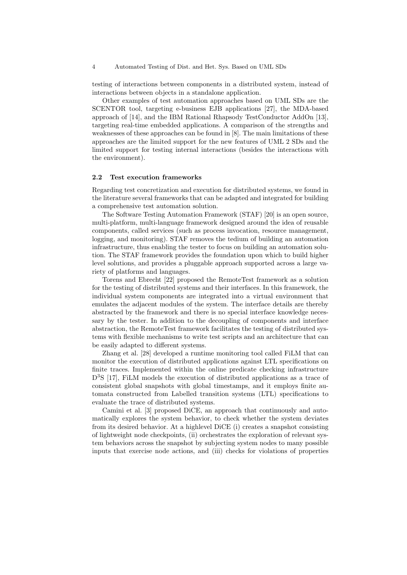testing of interactions between components in a distributed system, instead of interactions between objects in a standalone application.

Other examples of test automation approaches based on UML SDs are the SCENTOR tool, targeting e-business EJB applications [27], the MDA-based approach of [14], and the IBM Rational Rhapsody TestConductor AddOn [13], targeting real-time embedded applications. A comparison of the strengths and weaknesses of these approaches can be found in [8]. The main limitations of these approaches are the limited support for the new features of UML 2 SDs and the limited support for testing internal interactions (besides the interactions with the environment).

#### 2.2 Test execution frameworks

Regarding test concretization and execution for distributed systems, we found in the literature several frameworks that can be adapted and integrated for building a comprehensive test automation solution.

The Software Testing Automation Framework (STAF) [20] is an open source, multi-platform, multi-language framework designed around the idea of reusable components, called services (such as process invocation, resource management, logging, and monitoring). STAF removes the tedium of building an automation infrastructure, thus enabling the tester to focus on building an automation solution. The STAF framework provides the foundation upon which to build higher level solutions, and provides a pluggable approach supported across a large variety of platforms and languages.

Torens and Ebrecht [22] proposed the RemoteTest framework as a solution for the testing of distributed systems and their interfaces. In this framework, the individual system components are integrated into a virtual environment that emulates the adjacent modules of the system. The interface details are thereby abstracted by the framework and there is no special interface knowledge necessary by the tester. In addition to the decoupling of components and interface abstraction, the RemoteTest framework facilitates the testing of distributed systems with flexible mechanisms to write test scripts and an architecture that can be easily adapted to different systems.

Zhang et al. [28] developed a runtime monitoring tool called FiLM that can monitor the execution of distributed applications against LTL specifications on finite traces. Implemented within the online predicate checking infrastructure D3S [17], FiLM models the execution of distributed applications as a trace of consistent global snapshots with global timestamps, and it employs finite automata constructed from Labelled transition systems (LTL) specifications to evaluate the trace of distributed systems.

Camini et al. [3] proposed DiCE, an approach that continuously and automatically explores the system behavior, to check whether the system deviates from its desired behavior. At a highlevel DiCE (i) creates a snapshot consisting of lightweight node checkpoints, (ii) orchestrates the exploration of relevant system behaviors across the snapshot by subjecting system nodes to many possible inputs that exercise node actions, and (iii) checks for violations of properties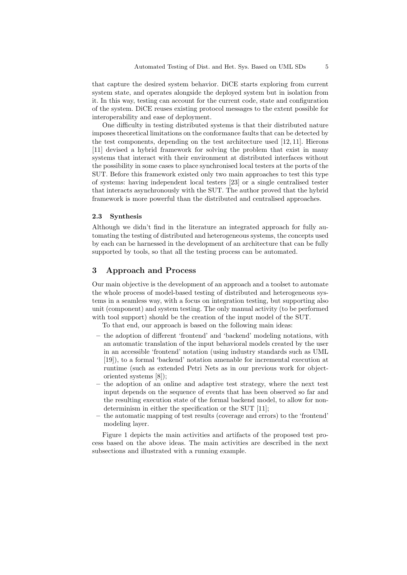that capture the desired system behavior. DiCE starts exploring from current system state, and operates alongside the deployed system but in isolation from it. In this way, testing can account for the current code, state and configuration of the system. DiCE reuses existing protocol messages to the extent possible for interoperability and ease of deployment.

One difficulty in testing distributed systems is that their distributed nature imposes theoretical limitations on the conformance faults that can be detected by the test components, depending on the test architecture used [12, 11]. Hierons [11] devised a hybrid framework for solving the problem that exist in many systems that interact with their environment at distributed interfaces without the possibility in some cases to place synchronised local testers at the ports of the SUT. Before this framework existed only two main approaches to test this type of systems: having independent local testers [23] or a single centralised tester that interacts asynchronously with the SUT. The author proved that the hybrid framework is more powerful than the distributed and centralised approaches.

#### 2.3 Synthesis

Although we didn't find in the literature an integrated approach for fully automating the testing of distributed and heterogeneous systems, the concepts used by each can be harnessed in the development of an architecture that can be fully supported by tools, so that all the testing process can be automated.

# 3 Approach and Process

Our main objective is the development of an approach and a toolset to automate the whole process of model-based testing of distributed and heterogeneous systems in a seamless way, with a focus on integration testing, but supporting also unit (component) and system testing. The only manual activity (to be performed with tool support) should be the creation of the input model of the SUT.

To that end, our approach is based on the following main ideas:

- the adoption of different 'frontend' and 'backend' modeling notations, with an automatic translation of the input behavioral models created by the user in an accessible 'frontend' notation (using industry standards such as UML [19]), to a formal 'backend' notation amenable for incremental execution at runtime (such as extended Petri Nets as in our previous work for objectoriented systems [8]);
- the adoption of an online and adaptive test strategy, where the next test input depends on the sequence of events that has been observed so far and the resulting execution state of the formal backend model, to allow for nondeterminism in either the specification or the SUT [11]:
- the automatic mapping of test results (coverage and errors) to the 'frontend' modeling layer.

Figure 1 depicts the main activities and artifacts of the proposed test process based on the above ideas. The main activities are described in the next subsections and illustrated with a running example.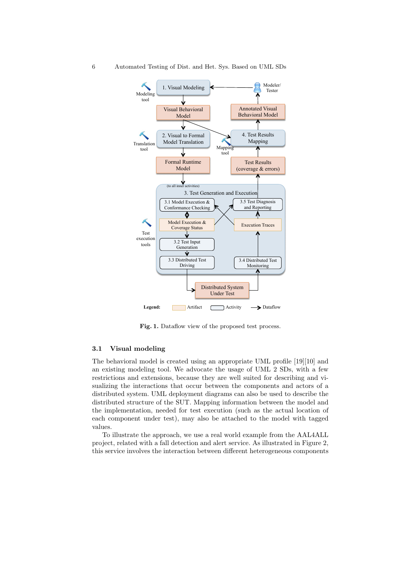

Fig. 1. Dataflow view of the proposed test process.

### 3.1 Visual modeling

The behavioral model is created using an appropriate UML profile [19][10] and an existing modeling tool. We advocate the usage of UML 2 SDs, with a few restrictions and extensions, because they are well suited for describing and visualizing the interactions that occur between the components and actors of a distributed system. UML deployment diagrams can also be used to describe the distributed structure of the SUT. Mapping information between the model and the implementation, needed for test execution (such as the actual location of each component under test), may also be attached to the model with tagged values.

To illustrate the approach, we use a real world example from the AAL4ALL project, related with a fall detection and alert service. As illustrated in Figure 2, this service involves the interaction between different heterogeneous components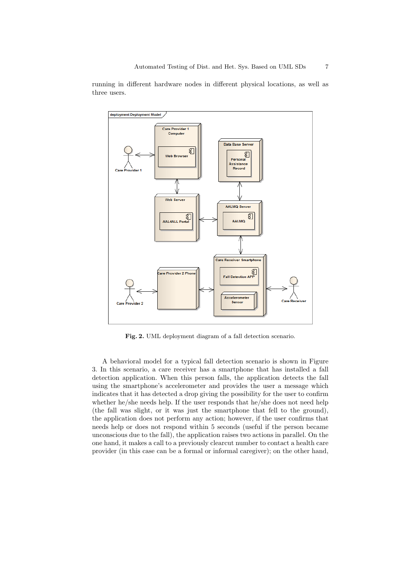

running in different hardware nodes in different physical locations, as well as three users.

Fig. 2. UML deployment diagram of a fall detection scenario.

A behavioral model for a typical fall detection scenario is shown in Figure 3. In this scenario, a care receiver has a smartphone that has installed a fall detection application. When this person falls, the application detects the fall using the smartphone's accelerometer and provides the user a message which indicates that it has detected a drop giving the possibility for the user to confirm whether he/she needs help. If the user responds that he/she does not need help (the fall was slight, or it was just the smartphone that fell to the ground), the application does not perform any action; however, if the user confirms that needs help or does not respond within 5 seconds (useful if the person became unconscious due to the fall), the application raises two actions in parallel. On the one hand, it makes a call to a previously clearcut number to contact a health care provider (in this case can be a formal or informal caregiver); on the other hand,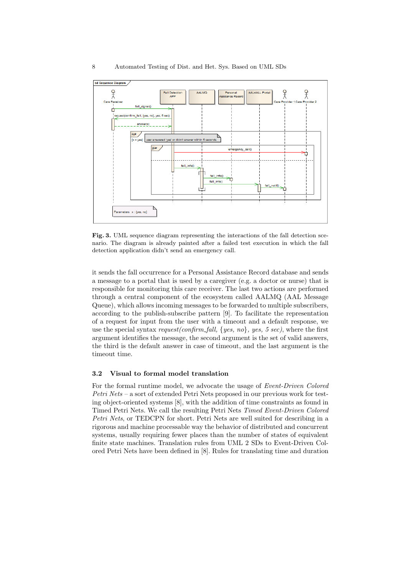![](_page_7_Figure_0.jpeg)

8 Automated Testing of Dist. and Het. Sys. Based on UML SDs

Fig. 3. UML sequence diagram representing the interactions of the fall detection scenario. The diagram is already painted after a failed test execution in which the fall detection application didn't send an emergency call.

it sends the fall occurrence for a Personal Assistance Record database and sends a message to a portal that is used by a caregiver (e.g. a doctor or nurse) that is responsible for monitoring this care receiver. The last two actions are performed through a central component of the ecosystem called AALMQ (AAL Message Queue), which allows incoming messages to be forwarded to multiple subscribers, according to the publish-subscribe pattern [9]. To facilitate the representation of a request for input from the user with a timeout and a default response, we use the special syntax request(confirm fall, {yes, no}, yes, 5 sec), where the first argument identifies the message, the second argument is the set of valid answers, the third is the default answer in case of timeout, and the last argument is the timeout time.

## 3.2 Visual to formal model translation

For the formal runtime model, we advocate the usage of Event-Driven Colored Petri Nets – a sort of extended Petri Nets proposed in our previous work for testing object-oriented systems [8], with the addition of time constraints as found in Timed Petri Nets. We call the resulting Petri Nets Timed Event-Driven Colored Petri Nets, or TEDCPN for short. Petri Nets are well suited for describing in a rigorous and machine processable way the behavior of distributed and concurrent systems, usually requiring fewer places than the number of states of equivalent finite state machines. Translation rules from UML 2 SDs to Event-Driven Colored Petri Nets have been defined in [8]. Rules for translating time and duration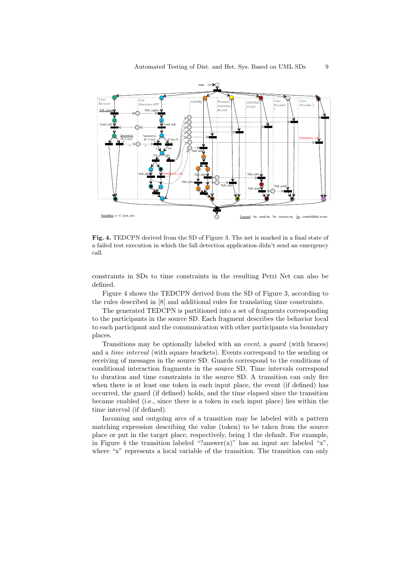![](_page_8_Figure_1.jpeg)

Fig. 4. TEDCPN derived from the SD of Figure 3. The net is marked in a final state of a failed test execution in which the fall detection application didn't send an emergency call.

constraints in SDs to time constraints in the resulting Petri Net can also be defined.

Figure 4 shows the TEDCPN derived from the SD of Figure 3, according to the rules described in [8] and additional rules for translating time constraints.

The generated TEDCPN is partitioned into a set of fragments corresponding to the participants in the source SD. Each fragment describes the behavior local to each participant and the communication with other participants via boundary places.

Transitions may be optionally labeled with an event, a guard (with braces) and a time interval (with square brackets). Events correspond to the sending or receiving of messages in the source SD. Guards correspond to the conditions of conditional interaction fragments in the source SD. Time intervals correspond to duration and time constraints in the source SD. A transition can only fire when there is at least one token in each input place, the event (if defined) has occurred, the guard (if defined) holds, and the time elapsed since the transition became enabled (i.e., since there is a token in each input place) lies within the time interval (if defined).

Incoming and outgoing arcs of a transition may be labeled with a pattern matching expression describing the value (token) to be taken from the source place or put in the target place, respectively, being 1 the default. For example, in Figure 4 the transition labeled "?answer $(x)$ " has an input arc labeled "x", where "x" represents a local variable of the transition. The transition can only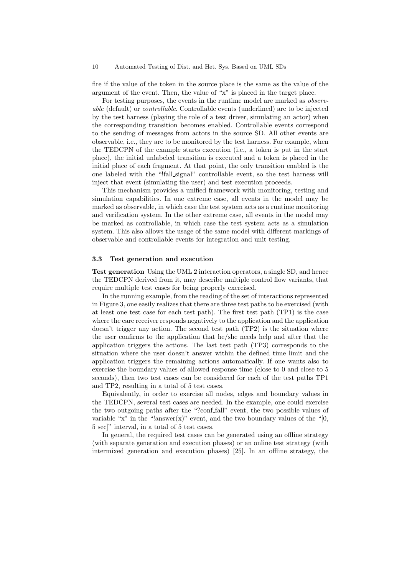fire if the value of the token in the source place is the same as the value of the argument of the event. Then, the value of "x" is placed in the target place.

For testing purposes, the events in the runtime model are marked as observable (default) or controllable. Controllable events (underlined) are to be injected by the test harness (playing the role of a test driver, simulating an actor) when the corresponding transition becomes enabled. Controllable events correspond to the sending of messages from actors in the source SD. All other events are observable, i.e., they are to be monitored by the test harness. For example, when the TEDCPN of the example starts execution (i.e., a token is put in the start place), the initial unlabeled transition is executed and a token is placed in the initial place of each fragment. At that point, the only transition enabled is the one labeled with the "!fall signal" controllable event, so the test harness will inject that event (simulating the user) and test execution proceeds.

This mechanism provides a unified framework with monitoring, testing and simulation capabilities. In one extreme case, all events in the model may be marked as observable, in which case the test system acts as a runtime monitoring and verification system. In the other extreme case, all events in the model may be marked as controllable, in which case the test system acts as a simulation system. This also allows the usage of the same model with different markings of observable and controllable events for integration and unit testing.

#### 3.3 Test generation and execution

Test generation Using the UML 2 interaction operators, a single SD, and hence the TEDCPN derived from it, may describe multiple control flow variants, that require multiple test cases for being properly exercised.

In the running example, from the reading of the set of interactions represented in Figure 3, one easily realizes that there are three test paths to be exercised (with at least one test case for each test path). The first test path (TP1) is the case where the care receiver responds negatively to the application and the application doesn't trigger any action. The second test path (TP2) is the situation where the user confirms to the application that he/she needs help and after that the application triggers the actions. The last test path (TP3) corresponds to the situation where the user doesn't answer within the defined time limit and the application triggers the remaining actions automatically. If one wants also to exercise the boundary values of allowed response time (close to 0 and close to 5 seconds), then two test cases can be considered for each of the test paths TP1 and TP2, resulting in a total of 5 test cases.

Equivalently, in order to exercise all nodes, edges and boundary values in the TEDCPN, several test cases are needed. In the example, one could exercise the two outgoing paths after the "?conf fall" event, the two possible values of variable "x" in the "!answer(x)" event, and the two boundary values of the "[0, 5 sec]" interval, in a total of 5 test cases.

In general, the required test cases can be generated using an offline strategy (with separate generation and execution phases) or an online test strategy (with intermixed generation and execution phases) [25]. In an offline strategy, the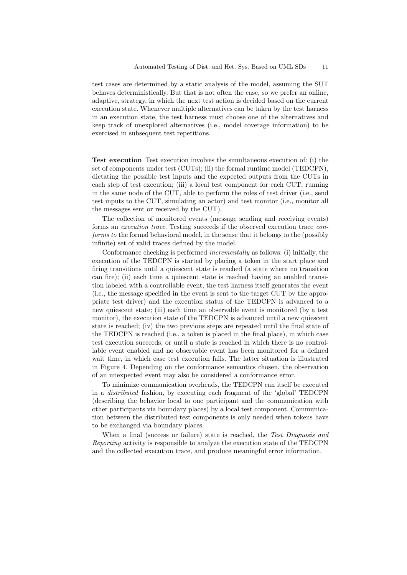test cases are determined by a static analysis of the model, assuming the SUT behaves deterministically. But that is not often the case, so we prefer an online, adaptive, strategy, in which the next test action is decided based on the current execution state. Whenever multiple alternatives can be taken by the test harness in an execution state, the test harness must choose one of the alternatives and keep track of unexplored alternatives (i.e., model coverage information) to be exercised in subsequent test repetitions.

Test execution Test execution involves the simultaneous execution of: (i) the set of components under test (CUTs); (ii) the formal runtime model (TEDCPN), dictating the possible test inputs and the expected outputs from the CUTs in each step of test execution; (iii) a local test component for each CUT, running in the same node of the CUT, able to perform the roles of test driver (i.e., send test inputs to the CUT, simulating an actor) and test monitor (i.e., monitor all the messages sent or received by the CUT).

The collection of monitored events (message sending and receiving events) forms an execution trace. Testing succeeds if the observed execution trace conforms to the formal behavioral model, in the sense that it belongs to the (possibly infinite) set of valid traces defined by the model.

Conformance checking is performed incrementally as follows: (i) initially, the execution of the TEDCPN is started by placing a token in the start place and firing transitions until a quiescent state is reached (a state where no transition can fire); (ii) each time a quiescent state is reached having an enabled transition labeled with a controllable event, the test harness itself generates the event (i.e., the message specified in the event is sent to the target CUT by the appropriate test driver) and the execution status of the TEDCPN is advanced to a new quiescent state; (iii) each time an observable event is monitored (by a test monitor), the execution state of the TEDCPN is advanced until a new quiescent state is reached; (iv) the two previous steps are repeated until the final state of the TEDCPN is reached (i.e., a token is placed in the final place), in which case test execution succeeds, or until a state is reached in which there is no controllable event enabled and no observable event has been monitored for a defined wait time, in which case test execution fails. The latter situation is illustrated in Figure 4. Depending on the conformance semantics chosen, the observation of an unexpected event may also be considered a conformance error.

To minimize communication overheads, the TEDCPN can itself be executed in a distributed fashion, by executing each fragment of the 'global' TEDCPN (describing the behavior local to one participant and the communication with other participants via boundary places) by a local test component. Communication between the distributed test components is only needed when tokens have to be exchanged via boundary places.

When a final (success or failure) state is reached, the Test Diagnosis and Reporting activity is responsible to analyze the execution state of the TEDCPN and the collected execution trace, and produce meaningful error information.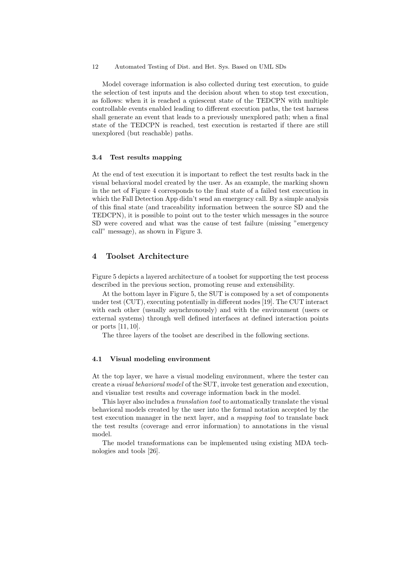Model coverage information is also collected during test execution, to guide the selection of test inputs and the decision about when to stop test execution, as follows: when it is reached a quiescent state of the TEDCPN with multiple controllable events enabled leading to different execution paths, the test harness shall generate an event that leads to a previously unexplored path; when a final state of the TEDCPN is reached, test execution is restarted if there are still unexplored (but reachable) paths.

#### 3.4 Test results mapping

At the end of test execution it is important to reflect the test results back in the visual behavioral model created by the user. As an example, the marking shown in the net of Figure 4 corresponds to the final state of a failed test execution in which the Fall Detection App didn't send an emergency call. By a simple analysis of this final state (and traceability information between the source SD and the TEDCPN), it is possible to point out to the tester which messages in the source SD were covered and what was the cause of test failure (missing "emergency call" message), as shown in Figure 3.

# 4 Toolset Architecture

Figure 5 depicts a layered architecture of a toolset for supporting the test process described in the previous section, promoting reuse and extensibility.

At the bottom layer in Figure 5, the SUT is composed by a set of components under test (CUT), executing potentially in different nodes [19]. The CUT interact with each other (usually asynchronously) and with the environment (users or external systems) through well defined interfaces at defined interaction points or ports [11, 10].

The three layers of the toolset are described in the following sections.

#### 4.1 Visual modeling environment

At the top layer, we have a visual modeling environment, where the tester can create a visual behavioral model of the SUT, invoke test generation and execution, and visualize test results and coverage information back in the model.

This layer also includes a translation tool to automatically translate the visual behavioral models created by the user into the formal notation accepted by the test execution manager in the next layer, and a mapping tool to translate back the test results (coverage and error information) to annotations in the visual model.

The model transformations can be implemented using existing MDA technologies and tools [26].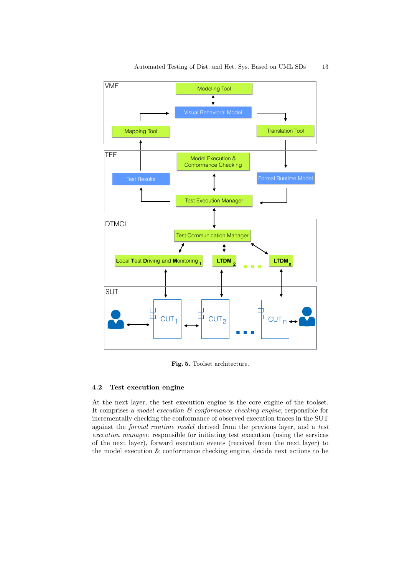![](_page_12_Figure_1.jpeg)

Fig. 5. Toolset architecture.

## 4.2 Test execution engine

At the next layer, the test execution engine is the core engine of the toolset. It comprises a model execution  $\mathcal C$  conformance checking engine, responsible for incrementally checking the conformance of observed execution traces in the SUT against the formal runtime model derived from the previous layer, and a test execution manager, responsible for initiating test execution (using the services of the next layer), forward execution events (received from the next layer) to the model execution & conformance checking engine, decide next actions to be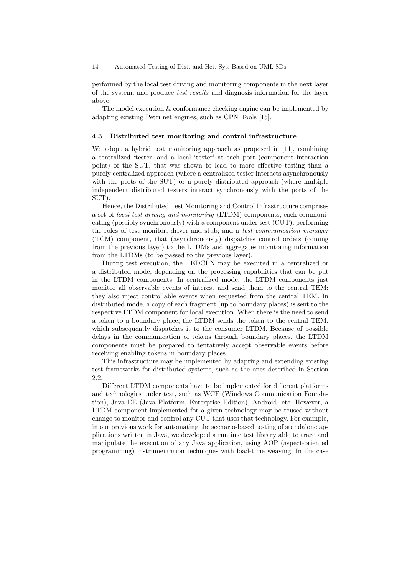performed by the local test driving and monitoring components in the next layer of the system, and produce test results and diagnosis information for the layer above.

The model execution & conformance checking engine can be implemented by adapting existing Petri net engines, such as CPN Tools [15].

#### 4.3 Distributed test monitoring and control infrastructure

We adopt a hybrid test monitoring approach as proposed in [11], combining a centralized 'tester' and a local 'tester' at each port (component interaction point) of the SUT, that was shown to lead to more effective testing than a purely centralized approach (where a centralized tester interacts asynchronously with the ports of the SUT) or a purely distributed approach (where multiple independent distributed testers interact synchronously with the ports of the SUT).

Hence, the Distributed Test Monitoring and Control Infrastructure comprises a set of local test driving and monitoring (LTDM) components, each communicating (possibly synchronously) with a component under test (CUT), performing the roles of test monitor, driver and stub; and a test communication manager (TCM) component, that (asynchronously) dispatches control orders (coming from the previous layer) to the LTDMs and aggregates monitoring information from the LTDMs (to be passed to the previous layer).

During test execution, the TEDCPN may be executed in a centralized or a distributed mode, depending on the processing capabilities that can be put in the LTDM components. In centralized mode, the LTDM components just monitor all observable events of interest and send them to the central TEM; they also inject controllable events when requested from the central TEM. In distributed mode, a copy of each fragment (up to boundary places) is sent to the respective LTDM component for local execution. When there is the need to send a token to a boundary place, the LTDM sends the token to the central TEM, which subsequently dispatches it to the consumer LTDM. Because of possible delays in the communication of tokens through boundary places, the LTDM components must be prepared to tentatively accept observable events before receiving enabling tokens in boundary places.

This infrastructure may be implemented by adapting and extending existing test frameworks for distributed systems, such as the ones described in Section 2.2.

Different LTDM components have to be implemented for different platforms and technologies under test, such as WCF (Windows Communication Foundation), Java EE (Java Platform, Enterprise Edition), Android, etc. However, a LTDM component implemented for a given technology may be reused without change to monitor and control any CUT that uses that technology. For example, in our previous work for automating the scenario-based testing of standalone applications written in Java, we developed a runtime test library able to trace and manipulate the execution of any Java application, using AOP (aspect-oriented programming) instrumentation techniques with load-time weaving. In the case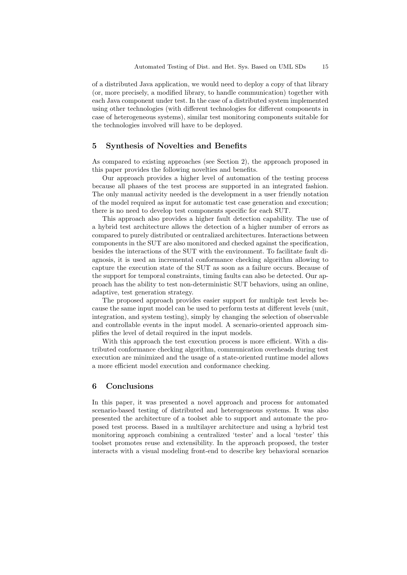of a distributed Java application, we would need to deploy a copy of that library (or, more precisely, a modified library, to handle communication) together with each Java component under test. In the case of a distributed system implemented using other technologies (with different technologies for different components in case of heterogeneous systems), similar test monitoring components suitable for the technologies involved will have to be deployed.

# 5 Synthesis of Novelties and Benefits

As compared to existing approaches (see Section 2), the approach proposed in this paper provides the following novelties and benefits.

Our approach provides a higher level of automation of the testing process because all phases of the test process are supported in an integrated fashion. The only manual activity needed is the development in a user friendly notation of the model required as input for automatic test case generation and execution; there is no need to develop test components specific for each SUT.

This approach also provides a higher fault detection capability. The use of a hybrid test architecture allows the detection of a higher number of errors as compared to purely distributed or centralized architectures. Interactions between components in the SUT are also monitored and checked against the specification, besides the interactions of the SUT with the environment. To facilitate fault diagnosis, it is used an incremental conformance checking algorithm allowing to capture the execution state of the SUT as soon as a failure occurs. Because of the support for temporal constraints, timing faults can also be detected. Our approach has the ability to test non-deterministic SUT behaviors, using an online, adaptive, test generation strategy.

The proposed approach provides easier support for multiple test levels because the same input model can be used to perform tests at different levels (unit, integration, and system testing), simply by changing the selection of observable and controllable events in the input model. A scenario-oriented approach simplifies the level of detail required in the input models.

With this approach the test execution process is more efficient. With a distributed conformance checking algorithm, communication overheads during test execution are minimized and the usage of a state-oriented runtime model allows a more efficient model execution and conformance checking.

## 6 Conclusions

In this paper, it was presented a novel approach and process for automated scenario-based testing of distributed and heterogeneous systems. It was also presented the architecture of a toolset able to support and automate the proposed test process. Based in a multilayer architecture and using a hybrid test monitoring approach combining a centralized 'tester' and a local 'tester' this toolset promotes reuse and extensibility. In the approach proposed, the tester interacts with a visual modeling front-end to describe key behavioral scenarios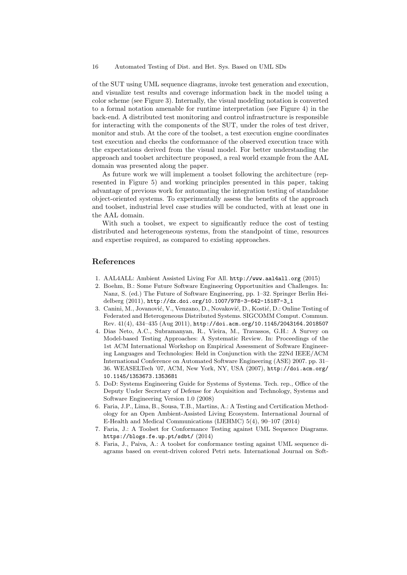of the SUT using UML sequence diagrams, invoke test generation and execution, and visualize test results and coverage information back in the model using a color scheme (see Figure 3). Internally, the visual modeling notation is converted to a formal notation amenable for runtime interpretation (see Figure 4) in the back-end. A distributed test monitoring and control infrastructure is responsible for interacting with the components of the SUT, under the roles of test driver, monitor and stub. At the core of the toolset, a test execution engine coordinates test execution and checks the conformance of the observed execution trace with the expectations derived from the visual model. For better understanding the approach and toolset architecture proposed, a real world example from the AAL domain was presented along the paper.

As future work we will implement a toolset following the architecture (represented in Figure 5) and working principles presented in this paper, taking advantage of previous work for automating the integration testing of standalone object-oriented systems. To experimentally assess the benefits of the approach and toolset, industrial level case studies will be conducted, with at least one in the AAL domain.

With such a toolset, we expect to significantly reduce the cost of testing distributed and heterogeneous systems, from the standpoint of time, resources and expertise required, as compared to existing approaches.

# References

- 1. AAL4ALL: Ambient Assisted Living For All. http://www.aal4all.org (2015)
- 2. Boehm, B.: Some Future Software Engineering Opportunities and Challenges. In: Nanz, S. (ed.) The Future of Software Engineering, pp. 1–32. Springer Berlin Heidelberg (2011), http://dx.doi.org/10.1007/978-3-642-15187-3\_1
- 3. Canini, M., Jovanović, V., Venzano, D., Novaković, D., Kostić, D.: Online Testing of Federated and Heterogeneous Distributed Systems. SIGCOMM Comput. Commun. Rev. 41(4), 434–435 (Aug 2011), http://doi.acm.org/10.1145/2043164.2018507
- 4. Dias Neto, A.C., Subramanyan, R., Vieira, M., Travassos, G.H.: A Survey on Model-based Testing Approaches: A Systematic Review. In: Proceedings of the 1st ACM International Workshop on Empirical Assessment of Software Engineering Languages and Technologies: Held in Conjunction with the 22Nd IEEE/ACM International Conference on Automated Software Engineering (ASE) 2007. pp. 31– 36. WEASELTech '07, ACM, New York, NY, USA (2007), http://doi.acm.org/ 10.1145/1353673.1353681
- 5. DoD: Systems Engineering Guide for Systems of Systems. Tech. rep., Office of the Deputy Under Secretary of Defense for Acquisition and Technology, Systems and Software Engineering Version 1.0 (2008)
- 6. Faria, J.P., Lima, B., Sousa, T.B., Martins, A.: A Testing and Certification Methodology for an Open Ambient-Assisted Living Ecosystem. International Journal of E-Health and Medical Communications (IJEHMC) 5(4), 90–107 (2014)
- 7. Faria, J.: A Toolset for Conformance Testing against UML Sequence Diagrams. https://blogs.fe.up.pt/sdbt/ (2014)
- 8. Faria, J., Paiva, A.: A toolset for conformance testing against UML sequence diagrams based on event-driven colored Petri nets. International Journal on Soft-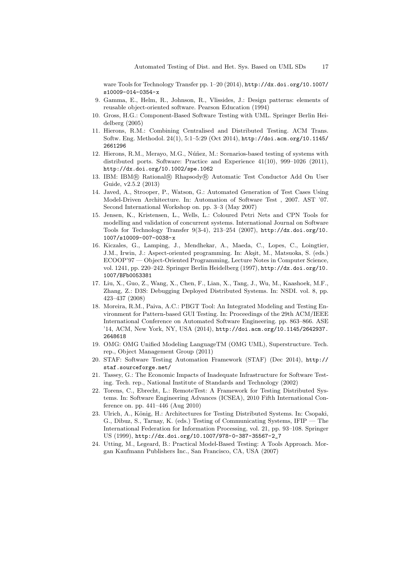ware Tools for Technology Transfer pp. 1–20 (2014), http://dx.doi.org/10.1007/ s10009-014-0354-x

- 9. Gamma, E., Helm, R., Johnson, R., Vlissides, J.: Design patterns: elements of reusable object-oriented software. Pearson Education (1994)
- 10. Gross, H.G.: Component-Based Software Testing with UML. Springer Berlin Heidelberg (2005)
- 11. Hierons, R.M.: Combining Centralised and Distributed Testing. ACM Trans. Softw. Eng. Methodol. 24(1), 5:1–5:29 (Oct 2014), http://doi.acm.org/10.1145/ 2661296
- 12. Hierons, R.M., Merayo, M.G., Núñez, M.: Scenarios-based testing of systems with distributed ports. Software: Practice and Experience 41(10), 999–1026 (2011), http://dx.doi.org/10.1002/spe.1062
- 13. IBM: IBM <sup>R</sup> Rational <sup>R</sup> Rhapsody <sup>R</sup> Automatic Test Conductor Add On User Guide, v2.5.2 (2013)
- 14. Javed, A., Strooper, P., Watson, G.: Automated Generation of Test Cases Using Model-Driven Architecture. In: Automation of Software Test , 2007. AST '07. Second International Workshop on. pp. 3–3 (May 2007)
- 15. Jensen, K., Kristensen, L., Wells, L.: Coloured Petri Nets and CPN Tools for modelling and validation of concurrent systems. International Journal on Software Tools for Technology Transfer 9(3-4), 213–254 (2007), http://dx.doi.org/10. 1007/s10009-007-0038-x
- 16. Kiczales, G., Lamping, J., Mendhekar, A., Maeda, C., Lopes, C., Loingtier, J.M., Irwin, J.: Aspect-oriented programming. In: Aksit, M., Matsuoka, S. (eds.) ECOOP'97 — Object-Oriented Programming, Lecture Notes in Computer Science, vol. 1241, pp. 220–242. Springer Berlin Heidelberg (1997), http://dx.doi.org/10. 1007/BFb0053381
- 17. Liu, X., Guo, Z., Wang, X., Chen, F., Lian, X., Tang, J., Wu, M., Kaashoek, M.F., Zhang, Z.: D3S: Debugging Deployed Distributed Systems. In: NSDI. vol. 8, pp. 423–437 (2008)
- 18. Moreira, R.M., Paiva, A.C.: PBGT Tool: An Integrated Modeling and Testing Environment for Pattern-based GUI Testing. In: Proceedings of the 29th ACM/IEEE International Conference on Automated Software Engineering. pp. 863–866. ASE '14, ACM, New York, NY, USA (2014), http://doi.acm.org/10.1145/2642937. 2648618
- 19. OMG: OMG Unified Modeling LanguageTM (OMG UML), Superstructure. Tech. rep., Object Management Group (2011)
- 20. STAF: Software Testing Automation Framework (STAF) (Dec 2014), http:// staf.sourceforge.net/
- 21. Tassey, G.: The Economic Impacts of Inadequate Infrastructure for Software Testing. Tech. rep., National Institute of Standards and Technology (2002)
- 22. Torens, C., Ebrecht, L.: RemoteTest: A Framework for Testing Distributed Systems. In: Software Engineering Advances (ICSEA), 2010 Fifth International Conference on. pp. 441–446 (Aug 2010)
- 23. Ulrich, A., König, H.: Architectures for Testing Distributed Systems. In: Csopaki, G., Dibuz, S., Tarnay, K. (eds.) Testing of Communicating Systems, IFIP — The International Federation for Information Processing, vol. 21, pp. 93–108. Springer US (1999), http://dx.doi.org/10.1007/978-0-387-35567-2\_7
- 24. Utting, M., Legeard, B.: Practical Model-Based Testing: A Tools Approach. Morgan Kaufmann Publishers Inc., San Francisco, CA, USA (2007)